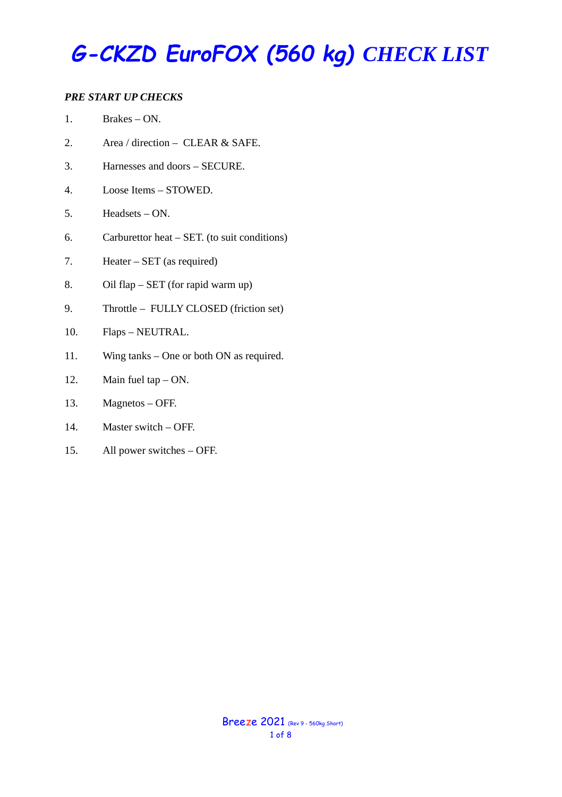#### *PRE START UP CHECKS*

- 2. Area / direction CLEAR & SAFE.
- 3. Harnesses and doors SECURE.
- 4. Loose Items STOWED.
- 5. Headsets ON.
- 6. Carburettor heat SET. (to suit conditions)
- 7. Heater SET (as required)
- 8. Oil flap SET (for rapid warm up)
- 9. Throttle FULLY CLOSED (friction set)
- 10. Flaps NEUTRAL.
- 11. Wing tanks One or both ON as required.
- 12. Main fuel tap ON.
- 13. Magnetos OFF.
- 14. Master switch OFF.
- 15. All power switches OFF.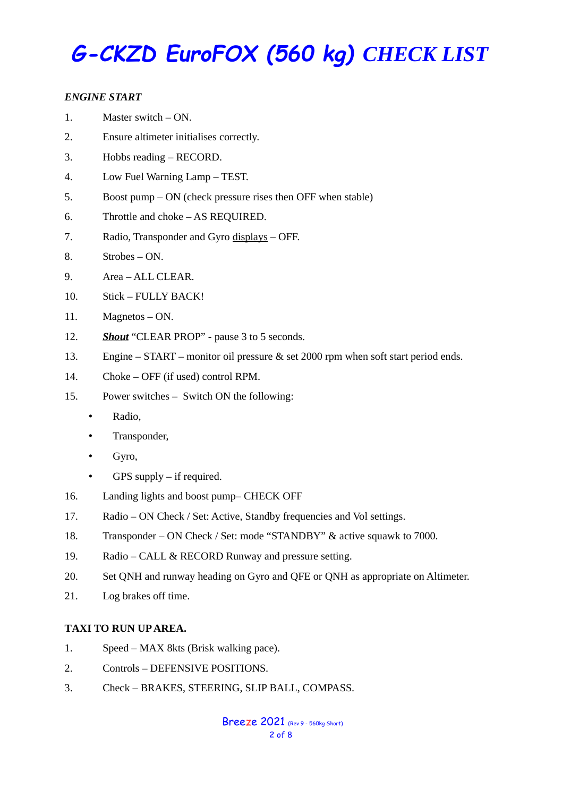#### *ENGINE START*

- 1. Master switch ON.
- 2. Ensure altimeter initialises correctly.
- 3. Hobbs reading RECORD.
- 4. Low Fuel Warning Lamp TEST.
- 5. Boost pump ON (check pressure rises then OFF when stable)
- 6. Throttle and choke AS REQUIRED.
- 7. Radio, Transponder and Gyro displays OFF.
- 8. Strobes ON.
- 9. Area ALL CLEAR.
- 10. Stick FULLY BACK!
- 11. Magnetos ON.
- 12. *Shout* "CLEAR PROP" pause 3 to 5 seconds.
- 13. Engine START monitor oil pressure & set 2000 rpm when soft start period ends.
- 14. Choke OFF (if used) control RPM.
- 15. Power switches Switch ON the following:
	- Radio,
	- Transponder,
	- Gyro,
	- GPS supply if required.
- 16. Landing lights and boost pump– CHECK OFF
- 17. Radio ON Check / Set: Active, Standby frequencies and Vol settings.
- 18. Transponder ON Check / Set: mode "STANDBY" & active squawk to 7000.
- 19. Radio CALL & RECORD Runway and pressure setting.
- 20. Set QNH and runway heading on Gyro and QFE or QNH as appropriate on Altimeter.
- 21. Log brakes off time.

#### **TAXI TO RUN UP AREA.**

- 1. Speed MAX 8kts (Brisk walking pace).
- 2. Controls DEFENSIVE POSITIONS.
- 3. Check BRAKES, STEERING, SLIP BALL, COMPASS.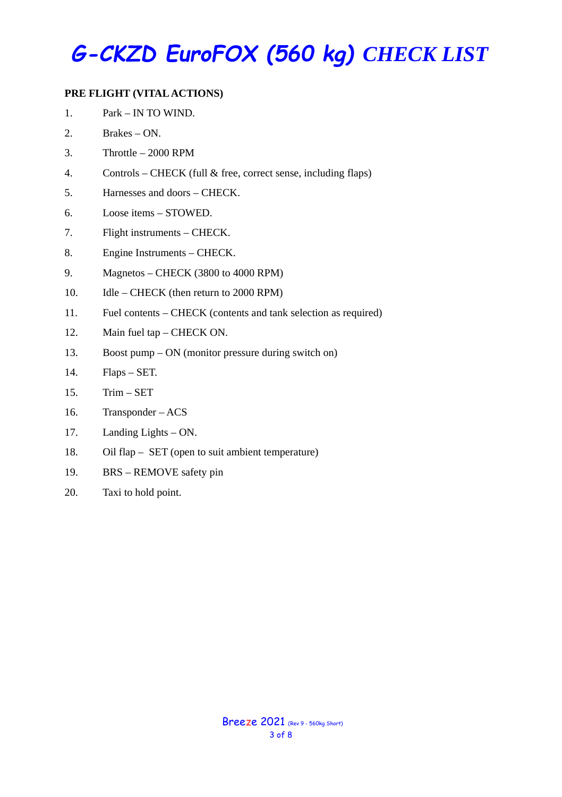#### **PRE FLIGHT (VITAL ACTIONS)**

- 1. Park IN TO WIND.
- 2. Brakes ON.
- 3. Throttle 2000 RPM
- 4. Controls CHECK (full & free, correct sense, including flaps)
- 5. Harnesses and doors CHECK.
- 6. Loose items STOWED.
- 7. Flight instruments CHECK.
- 8. Engine Instruments CHECK.
- 9. Magnetos CHECK (3800 to 4000 RPM)
- 10. Idle CHECK (then return to 2000 RPM)
- 11. Fuel contents CHECK (contents and tank selection as required)
- 12. Main fuel tap CHECK ON.
- 13. Boost pump ON (monitor pressure during switch on)
- 14. Flaps SET.
- 15. Trim SET
- 16. Transponder ACS
- 17. Landing Lights ON.
- 18. Oil flap SET (open to suit ambient temperature)
- 19. BRS REMOVE safety pin
- 20. Taxi to hold point.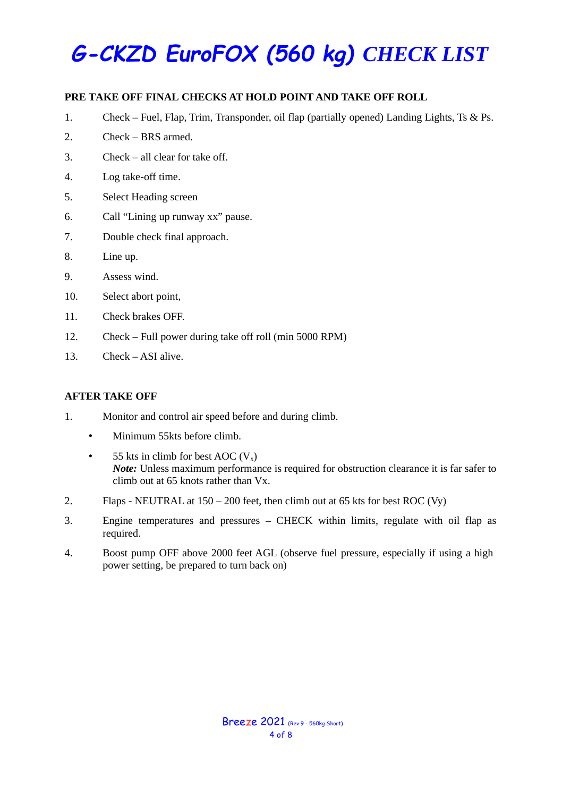#### **PRE TAKE OFF FINAL CHECKS AT HOLD POINT AND TAKE OFF ROLL**

- 1. Check Fuel, Flap, Trim, Transponder, oil flap (partially opened) Landing Lights, Ts & Ps.
- 2. Check BRS armed.
- 3. Check all clear for take off.
- 4. Log take-off time.
- 5. Select Heading screen
- 6. Call "Lining up runway xx" pause.
- 7. Double check final approach.
- 8. Line up.
- 9. Assess wind.
- 10. Select abort point,
- 11. Check brakes OFF.
- 12. Check Full power during take off roll (min 5000 RPM)
- 13. Check ASI alive.

#### **AFTER TAKE OFF**

- 1. Monitor and control air speed before and during climb.
	- Minimum 55kts before climb.
	- 55 kts in climb for best AOC  $(V_x)$ *Note*: Unless maximum performance is required for obstruction clearance it is far safer to climb out at 65 knots rather than Vx.
- 2. Flaps NEUTRAL at 150 200 feet, then climb out at 65 kts for best ROC (Vy)
- 3. Engine temperatures and pressures CHECK within limits, regulate with oil flap as required.
- 4. Boost pump OFF above 2000 feet AGL (observe fuel pressure, especially if using a high power setting, be prepared to turn back on)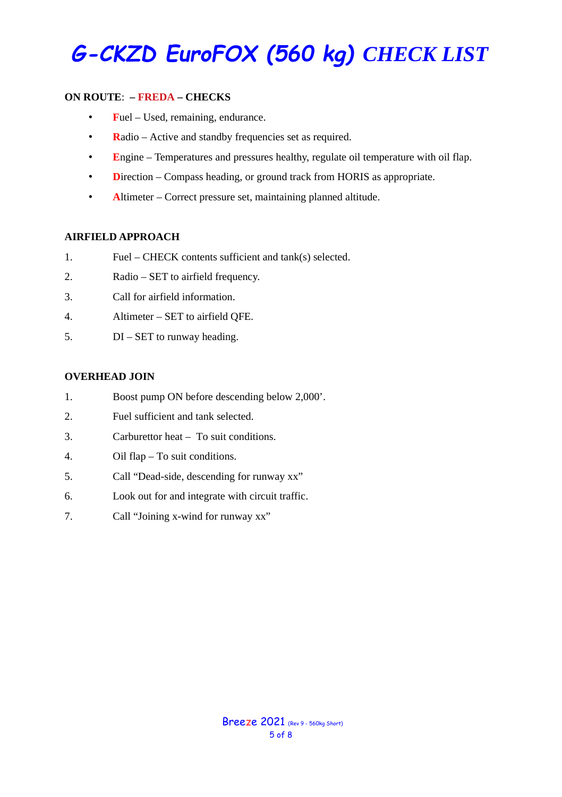#### **ON ROUTE**: **– FREDA – CHECKS**

- **F**uel Used, remaining, endurance.
- **R**adio Active and standby frequencies set as required.
- **E**ngine Temperatures and pressures healthy, regulate oil temperature with oil flap.
- **D**irection Compass heading, or ground track from HORIS as appropriate.
- **A**ltimeter Correct pressure set, maintaining planned altitude.

#### **AIRFIELD APPROACH**

- 1. Fuel CHECK contents sufficient and tank(s) selected.
- 2. Radio SET to airfield frequency.
- 3. Call for airfield information.
- 4. Altimeter SET to airfield QFE.
- 5. DI SET to runway heading.

#### **OVERHEAD JOIN**

- 1. Boost pump ON before descending below 2,000'.
- 2. Fuel sufficient and tank selected.
- 3. Carburettor heat To suit conditions.
- 4. Oil flap To suit conditions.
- 5. Call "Dead-side, descending for runway xx"
- 6. Look out for and integrate with circuit traffic.
- 7. Call "Joining x-wind for runway xx"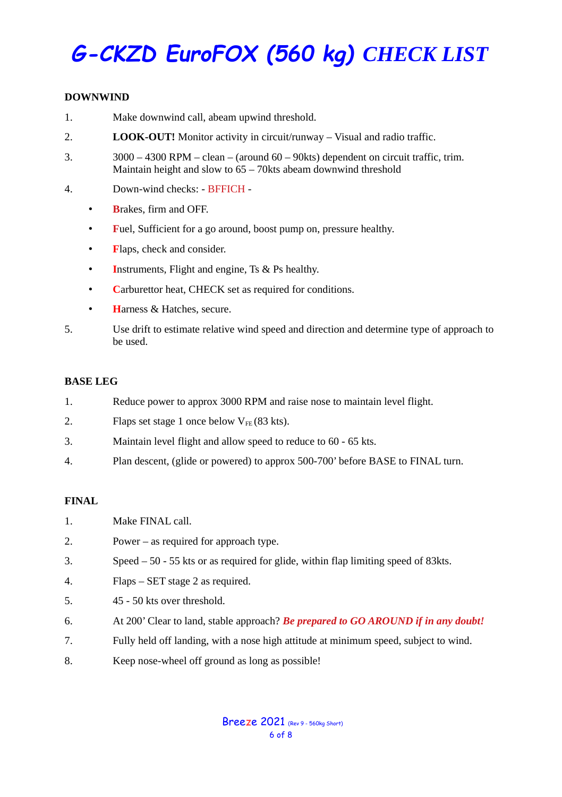#### **DOWNWIND**

- 1. Make downwind call, abeam upwind threshold.
- 2. **LOOK-OUT!** Monitor activity in circuit/runway Visual and radio traffic.
- 3. 3000 4300 RPM clean (around 60 90kts) dependent on circuit traffic, trim. Maintain height and slow to 65 – 70kts abeam downwind threshold
- 4. Down-wind checks: BFFICH
	- **B**rakes, firm and OFF.
	- **F**uel, Sufficient for a go around, boost pump on, pressure healthy.
	- **F**laps, check and consider.
	- **I**nstruments, Flight and engine, Ts & Ps healthy.
	- **C**arburettor heat, CHECK set as required for conditions.
	- **H**arness & Hatches, secure.
- 5. Use drift to estimate relative wind speed and direction and determine type of approach to be used.

#### **BASE LEG**

- 1. Reduce power to approx 3000 RPM and raise nose to maintain level flight.
- 2. Flaps set stage 1 once below  $V_{FF}$  (83 kts).
- 3. Maintain level flight and allow speed to reduce to 60 65 kts.
- 4. Plan descent, (glide or powered) to approx 500-700' before BASE to FINAL turn.

#### **FINAL**

- 1. Make FINAL call.
- 2. Power as required for approach type.
- 3. Speed 50 55 kts or as required for glide, within flap limiting speed of 83kts.
- 4. Flaps SET stage 2 as required.
- 5. 45 50 kts over threshold.
- 6. At 200' Clear to land, stable approach? *Be prepared to GO AROUND if in any doubt!*
- 7. Fully held off landing, with a nose high attitude at minimum speed, subject to wind.
- 8. Keep nose-wheel off ground as long as possible!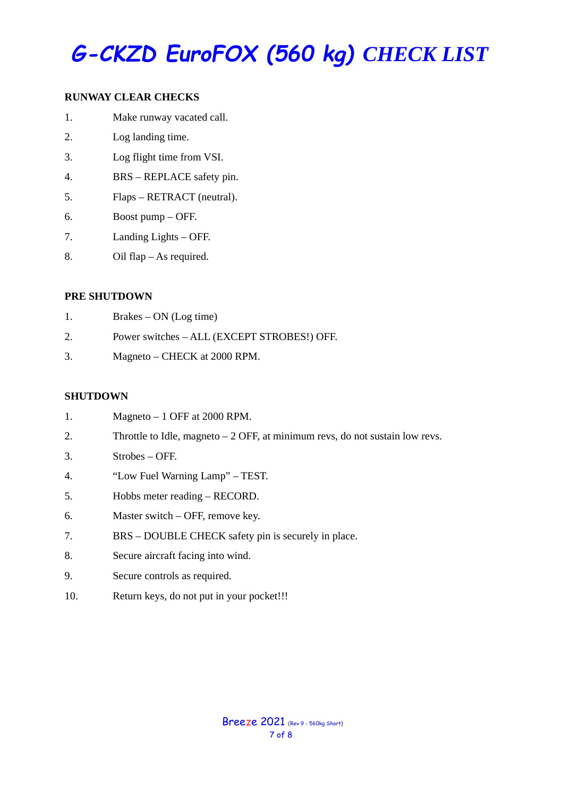#### **RUNWAY CLEAR CHECKS**

- 1. Make runway vacated call.
- 2. Log landing time.
- 3. Log flight time from VSI.
- 4. BRS REPLACE safety pin.
- 5. Flaps RETRACT (neutral).
- 6. Boost pump OFF.
- 7. Landing Lights OFF.
- 8. Oil flap As required.

#### **PRE SHUTDOWN**

- 1. Brakes ON (Log time)
- 2. Power switches ALL (EXCEPT STROBES!) OFF.
- 3. Magneto CHECK at 2000 RPM.

#### **SHUTDOWN**

| 1. | Magneto $-1$ OFF at 2000 RPM.                                                 |
|----|-------------------------------------------------------------------------------|
| 2. | Throttle to Idle, magneto $-2$ OFF, at minimum revs, do not sustain low revs. |
| 3. | $Strobes - OFF.$                                                              |
| 4. | "Low Fuel Warning Lamp" - TEST.                                               |
| 5. | Hobbs meter reading - RECORD.                                                 |
| 6. | Master switch - OFF, remove key.                                              |
| 7. | BRS – DOUBLE CHECK safety pin is securely in place.                           |
| 8. | Secure aircraft facing into wind.                                             |
| 9. | Secure controls as required.                                                  |

10. Return keys, do not put in your pocket!!!